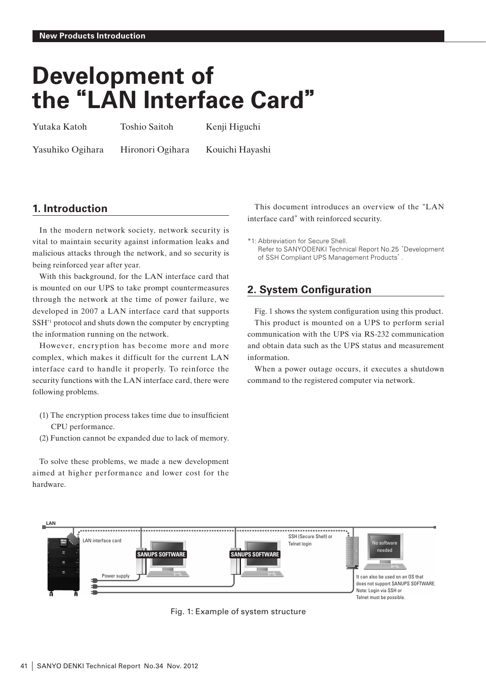# **Development of the"LAN Interface Card"**

Yutaka Katoh Toshio Saitoh Kenji Higuchi

Yasuhiko Ogihara Hironori Ogihara Kouichi Hayashi

# **1. Introduction**

In the modern network society, network security is vital to maintain security against information leaks and malicious attacks through the network, and so security is being reinforced year after year.

With this background, for the LAN interface card that is mounted on our UPS to take prompt countermeasures through the network at the time of power failure, we developed in 2007 a LAN interface card that supports SSH\*1 protocol and shuts down the computer by encrypting the information running on the network.

However, encryption has become more and more complex, which makes it difficult for the current LAN interface card to handle it properly. To reinforce the security functions with the LAN interface card, there were following problems.

- (1) The encryption process takes time due to insufficient CPU performance.
- (2) Function cannot be expanded due to lack of memory.

To solve these problems, we made a new development aimed at higher performance and lower cost for the hardware.

This document introduces an overview of the**"**LAN interface card**"**with reinforced security.

\*1: Abbreviation for Secure Shell. Refer to SANYODENKI Technical Report No.25"Development of SSH Compliant UPS Management Products".

# **2. System Configuration**

Fig. 1 shows the system configuration using this product.

This product is mounted on a UPS to perform serial communication with the UPS via RS-232 communication and obtain data such as the UPS status and measurement information.

When a power outage occurs, it executes a shutdown command to the registered computer via network.



Fig. 1: Example of system structure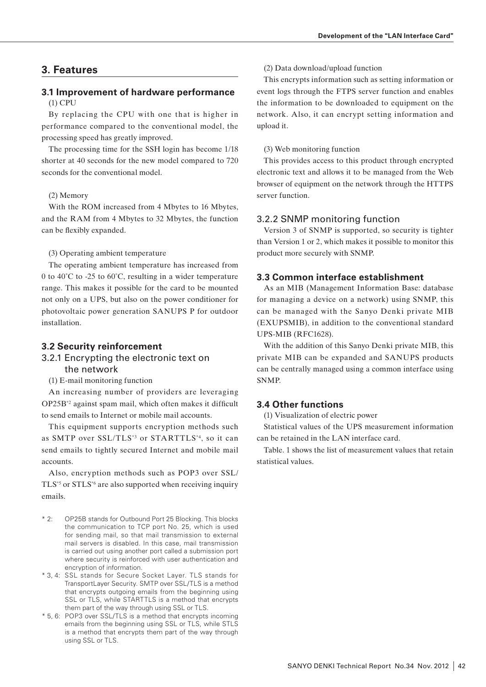# **3. Features**

## **3.1 Improvement of hardware performance** (1) CPU

By replacing the CPU with one that is higher in performance compared to the conventional model, the processing speed has greatly improved.

The processing time for the SSH login has become 1/18 shorter at 40 seconds for the new model compared to 720 seconds for the conventional model.

#### (2) Memory

With the ROM increased from 4 Mbytes to 16 Mbytes, and the RAM from 4 Mbytes to 32 Mbytes, the function can be flexibly expanded.

(3) Operating ambient temperature

The operating ambient temperature has increased from 0 to 40˚C to -25 to 60˚C, resulting in a wider temperature range. This makes it possible for the card to be mounted not only on a UPS, but also on the power conditioner for photovoltaic power generation SANUPS P for outdoor installation.

## **3.2 Security reinforcement**

## 3.2.1 Encrypting the electronic text on the network

(1) E-mail monitoring function

An increasing number of providers are leveraging OP25B\*2 against spam mail, which often makes it difficult to send emails to Internet or mobile mail accounts.

This equipment supports encryption methods such as SMTP over SSL/TLS\*3 or STARTTLS\*4, so it can send emails to tightly secured Internet and mobile mail accounts.

Also, encryption methods such as POP3 over SSL/ TLS\*5 or STLS\*6 are also supported when receiving inquiry emails.

- \* 2: OP25B stands for Outbound Port 25 Blocking. This blocks the communication to TCP port No. 25, which is used for sending mail, so that mail transmission to external mail servers is disabled. In this case, mail transmission is carried out using another port called a submission port where security is reinforced with user authentication and encryption of information.
- \* 3, 4: SSL stands for Secure Socket Layer. TLS stands for TransportLayer Security. SMTP over SSL/TLS is a method that encrypts outgoing emails from the beginning using SSL or TLS, while STARTTLS is a method that encrypts them part of the way through using SSL or TLS.
- \* 5, 6: POP3 over SSL/TLS is a method that encrypts incoming emails from the beginning using SSL or TLS, while STLS is a method that encrypts them part of the way through using SSL or TLS.

(2) Data download/upload function

This encrypts information such as setting information or event logs through the FTPS server function and enables the information to be downloaded to equipment on the network. Also, it can encrypt setting information and upload it.

#### (3) Web monitoring function

This provides access to this product through encrypted electronic text and allows it to be managed from the Web browser of equipment on the network through the HTTPS server function.

## 3.2.2 SNMP monitoring function

Version 3 of SNMP is supported, so security is tighter than Version 1 or 2, which makes it possible to monitor this product more securely with SNMP.

# **3.3 Common interface establishment**

As an MIB (Management Information Base: database for managing a device on a network) using SNMP, this can be managed with the Sanyo Denki private MIB (EXUPSMIB), in addition to the conventional standard UPS-MIB (RFC1628).

With the addition of this Sanyo Denki private MIB, this private MIB can be expanded and SANUPS products can be centrally managed using a common interface using SNMP.

# **3.4 Other functions**

(1) Visualization of electric power

Statistical values of the UPS measurement information can be retained in the LAN interface card.

Table. 1 shows the list of measurement values that retain statistical values.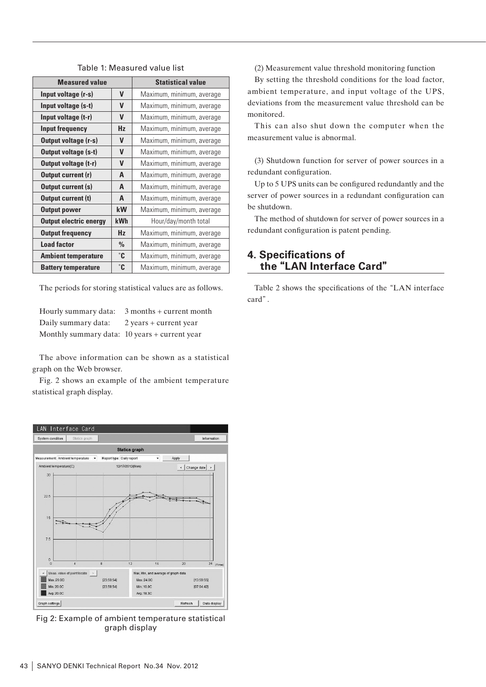| <b>Measured value</b>         |               | <b>Statistical value</b>  |  |  |
|-------------------------------|---------------|---------------------------|--|--|
| Input voltage (r-s)           | V             | Maximum, minimum, average |  |  |
| Input voltage (s-t)           | V             | Maximum, minimum, average |  |  |
| Input voltage (t-r)           | V             | Maximum, minimum, average |  |  |
| Input frequency               | Hz            | Maximum, minimum, average |  |  |
| Output voltage (r-s)          | V             | Maximum, minimum, average |  |  |
| Output voltage (s-t)          | V             | Maximum, minimum, average |  |  |
| Output voltage (t-r)          | V             | Maximum, minimum, average |  |  |
| Output current (r)            | A             | Maximum, minimum, average |  |  |
| Output current (s)            | A             | Maximum, minimum, average |  |  |
| Output current (t)            | A             | Maximum, minimum, average |  |  |
| <b>Output power</b>           | kW            | Maximum, minimum, average |  |  |
| <b>Output electric energy</b> | <b>kWh</b>    | Hour/day/month total      |  |  |
| <b>Output frequency</b>       | Hz            | Maximum, minimum, average |  |  |
| <b>Load factor</b>            | $\frac{0}{0}$ | Maximum, minimum, average |  |  |
| <b>Ambient temperature</b>    | $^{\circ}$ C  | Maximum, minimum, average |  |  |
| <b>Battery temperature</b>    | $^{\circ}$ C  | Maximum, minimum, average |  |  |

Table 1: Measured value list

The periods for storing statistical values are as follows.

| Hourly summary data:                          | $3$ months + current month |
|-----------------------------------------------|----------------------------|
| Daily summary data:                           | $2$ years + current year   |
| Monthly summary data: 10 years + current year |                            |

The above information can be shown as a statistical graph on the Web browser.

Fig. 2 shows an example of the ambient temperature statistical graph display.



Fig 2: Example of ambient temperature statistical graph display

(2) Measurement value threshold monitoring function

By setting the threshold conditions for the load factor, ambient temperature, and input voltage of the UPS, deviations from the measurement value threshold can be monitored.

This can also shut down the computer when the measurement value is abnormal.

(3) Shutdown function for server of power sources in a redundant configuration.

Up to 5 UPS units can be configured redundantly and the server of power sources in a redundant configuration can be shutdown.

The method of shutdown for server of power sources in a redundant configuration is patent pending.

# **4. Specifications of the"LAN Interface Card"**

Table 2 shows the specifications of the**"**LAN interface card**"**.